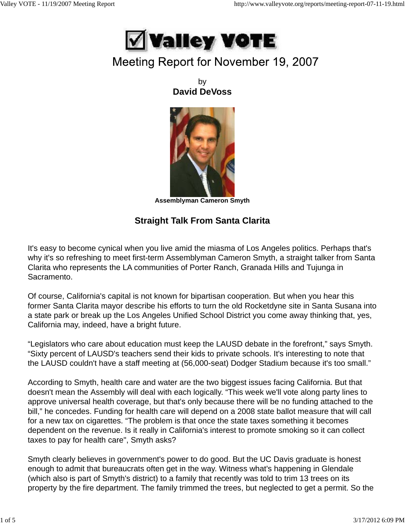

## Meeting Report for November 19, 2007

by **David DeVoss**



**Assemblyman Cameron Smyth**

## **Straight Talk From Santa Clarita**

It's easy to become cynical when you live amid the miasma of Los Angeles politics. Perhaps that's why it's so refreshing to meet first-term Assemblyman Cameron Smyth, a straight talker from Santa Clarita who represents the LA communities of Porter Ranch, Granada Hills and Tujunga in Sacramento.

Of course, California's capital is not known for bipartisan cooperation. But when you hear this former Santa Clarita mayor describe his efforts to turn the old Rocketdyne site in Santa Susana into a state park or break up the Los Angeles Unified School District you come away thinking that, yes, California may, indeed, have a bright future.

"Legislators who care about education must keep the LAUSD debate in the forefront," says Smyth. "Sixty percent of LAUSD's teachers send their kids to private schools. It's interesting to note that the LAUSD couldn't have a staff meeting at (56,000-seat) Dodger Stadium because it's too small."

According to Smyth, health care and water are the two biggest issues facing California. But that doesn't mean the Assembly will deal with each logically. "This week we'll vote along party lines to approve universal health coverage, but that's only because there will be no funding attached to the bill," he concedes. Funding for health care will depend on a 2008 state ballot measure that will call for a new tax on cigarettes. "The problem is that once the state taxes something it becomes dependent on the revenue. Is it really in California's interest to promote smoking so it can collect taxes to pay for health care", Smyth asks?

Smyth clearly believes in government's power to do good. But the UC Davis graduate is honest enough to admit that bureaucrats often get in the way. Witness what's happening in Glendale (which also is part of Smyth's district) to a family that recently was told to trim 13 trees on its property by the fire department. The family trimmed the trees, but neglected to get a permit. So the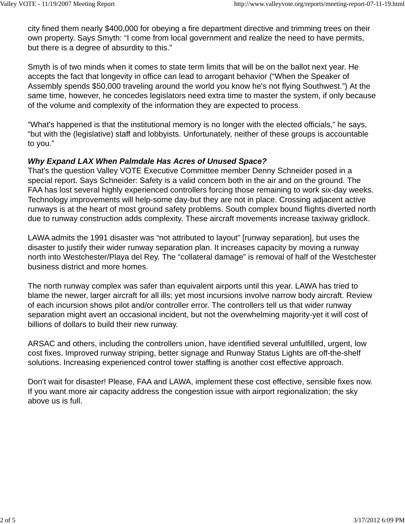city fined them nearly \$400,000 for obeying a fire department directive and trimming trees on their own property. Says Smyth: "I come from local government and realize the need to have permits, but there is a degree of absurdity to this."

Smyth is of two minds when it comes to state term limits that will be on the ballot next year. He accepts the fact that longevity in office can lead to arrogant behavior ("When the Speaker of Assembly spends \$50,000 traveling around the world you know he's not flying Southwest.") At the same time, however, he concedes legislators need extra time to master the system, if only because of the volume and complexity of the information they are expected to process.

"What's happened is that the institutional memory is no longer with the elected officials," he says, "but with the (legislative) staff and lobbyists. Unfortunately, neither of these groups is accountable to you."

### *Why Expand LAX When Palmdale Has Acres of Unused Space?*

That's the question Valley VOTE Executive Committee member Denny Schneider posed in a special report. Says Schneider: Safety is a valid concern both in the air and on the ground. The FAA has lost several highly experienced controllers forcing those remaining to work six-day weeks. Technology improvements will help-some day-but they are not in place. Crossing adjacent active runways is at the heart of most ground safety problems. South complex bound flights diverted north due to runway construction adds complexity. These aircraft movements increase taxiway gridlock.

LAWA admits the 1991 disaster was "not attributed to layout" [runway separation], but uses the disaster to justify their wider runway separation plan. It increases capacity by moving a runway north into Westchester/Playa del Rey. The "collateral damage" is removal of half of the Westchester business district and more homes.

The north runway complex was safer than equivalent airports until this year. LAWA has tried to blame the newer, larger aircraft for all ills; yet most incursions involve narrow body aircraft. Review of each incursion shows pilot and/or controller error. The controllers tell us that wider runway separation might avert an occasional incident, but not the overwhelming majority-yet it will cost of billions of dollars to build their new runway.

ARSAC and others, including the controllers union, have identified several unfulfilled, urgent, low cost fixes. Improved runway striping, better signage and Runway Status Lights are off-the-shelf solutions. Increasing experienced control tower staffing is another cost effective approach.

Don't wait for disaster! Please, FAA and LAWA, implement these cost effective, sensible fixes now. If you want more air capacity address the congestion issue with airport regionalization; the sky above us is full.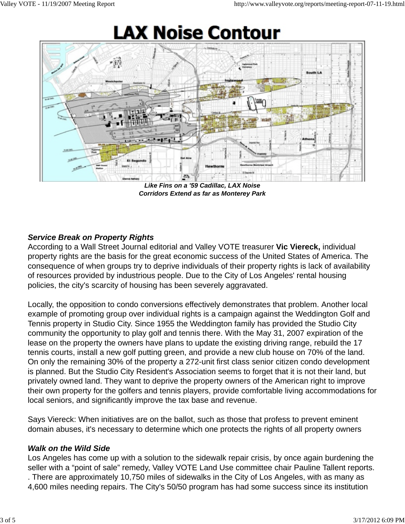# **LAX Noise Contour**



*Like Fins on a '59 Cadillac, LAX Noise Corridors Extend as far as Monterey Park*

## *Service Break on Property Rights*

According to a Wall Street Journal editorial and Valley VOTE treasurer **Vic Viereck,** individual property rights are the basis for the great economic success of the United States of America. The consequence of when groups try to deprive individuals of their property rights is lack of availability of resources provided by industrious people. Due to the City of Los Angeles' rental housing policies, the city's scarcity of housing has been severely aggravated.

Locally, the opposition to condo conversions effectively demonstrates that problem. Another local example of promoting group over individual rights is a campaign against the Weddington Golf and Tennis property in Studio City. Since 1955 the Weddington family has provided the Studio City community the opportunity to play golf and tennis there. With the May 31, 2007 expiration of the lease on the property the owners have plans to update the existing driving range, rebuild the 17 tennis courts, install a new golf putting green, and provide a new club house on 70% of the land. On only the remaining 30% of the property a 272-unit first class senior citizen condo development is planned. But the Studio City Resident's Association seems to forget that it is not their land, but privately owned land. They want to deprive the property owners of the American right to improve their own property for the golfers and tennis players, provide comfortable living accommodations for local seniors, and significantly improve the tax base and revenue.

Says Viereck: When initiatives are on the ballot, such as those that profess to prevent eminent domain abuses, it's necessary to determine which one protects the rights of all property owners

## *Walk on the Wild Side*

Los Angeles has come up with a solution to the sidewalk repair crisis, by once again burdening the seller with a "point of sale" remedy, Valley VOTE Land Use committee chair Pauline Tallent reports. . There are approximately 10,750 miles of sidewalks in the City of Los Angeles, with as many as

4,600 miles needing repairs. The City's 50/50 program has had some success since its institution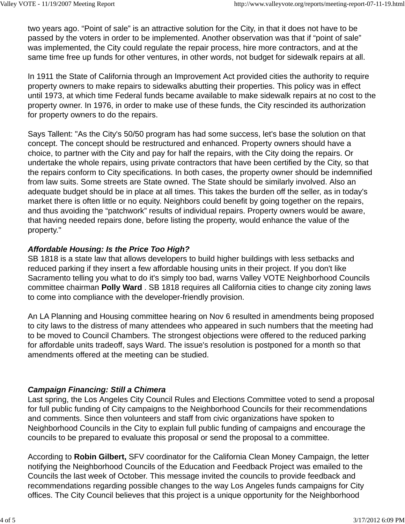two years ago. "Point of sale" is an attractive solution for the City, in that it does not have to be passed by the voters in order to be implemented. Another observation was that if "point of sale" was implemented, the City could regulate the repair process, hire more contractors, and at the same time free up funds for other ventures, in other words, not budget for sidewalk repairs at all.

In 1911 the State of California through an Improvement Act provided cities the authority to require property owners to make repairs to sidewalks abutting their properties. This policy was in effect until 1973, at which time Federal funds became available to make sidewalk repairs at no cost to the property owner. In 1976, in order to make use of these funds, the City rescinded its authorization for property owners to do the repairs.

Says Tallent: "As the City's 50/50 program has had some success, let's base the solution on that concept. The concept should be restructured and enhanced. Property owners should have a choice, to partner with the City and pay for half the repairs, with the City doing the repairs. Or undertake the whole repairs, using private contractors that have been certified by the City, so that the repairs conform to City specifications. In both cases, the property owner should be indemnified from law suits. Some streets are State owned. The State should be similarly involved. Also an adequate budget should be in place at all times. This takes the burden off the seller, as in today's market there is often little or no equity. Neighbors could benefit by going together on the repairs, and thus avoiding the "patchwork" results of individual repairs. Property owners would be aware, that having needed repairs done, before listing the property, would enhance the value of the property."

## *Affordable Housing: Is the Price Too High?*

SB 1818 is a state law that allows developers to build higher buildings with less setbacks and reduced parking if they insert a few affordable housing units in their project. If you don't like Sacramento telling you what to do it's simply too bad, warns Valley VOTE Neighborhood Councils committee chairman **Polly Ward** . SB 1818 requires all California cities to change city zoning laws to come into compliance with the developer-friendly provision.

An LA Planning and Housing committee hearing on Nov 6 resulted in amendments being proposed to city laws to the distress of many attendees who appeared in such numbers that the meeting had to be moved to Council Chambers. The strongest objections were offered to the reduced parking for affordable units tradeoff, says Ward. The issue's resolution is postponed for a month so that amendments offered at the meeting can be studied.

### *Campaign Financing: Still a Chimera*

Last spring, the Los Angeles City Council Rules and Elections Committee voted to send a proposal for full public funding of City campaigns to the Neighborhood Councils for their recommendations and comments. Since then volunteers and staff from civic organizations have spoken to Neighborhood Councils in the City to explain full public funding of campaigns and encourage the councils to be prepared to evaluate this proposal or send the proposal to a committee.

According to **Robin Gilbert,** SFV coordinator for the California Clean Money Campaign, the letter notifying the Neighborhood Councils of the Education and Feedback Project was emailed to the Councils the last week of October. This message invited the councils to provide feedback and recommendations regarding possible changes to the way Los Angeles funds campaigns for City offices. The City Council believes that this project is a unique opportunity for the Neighborhood